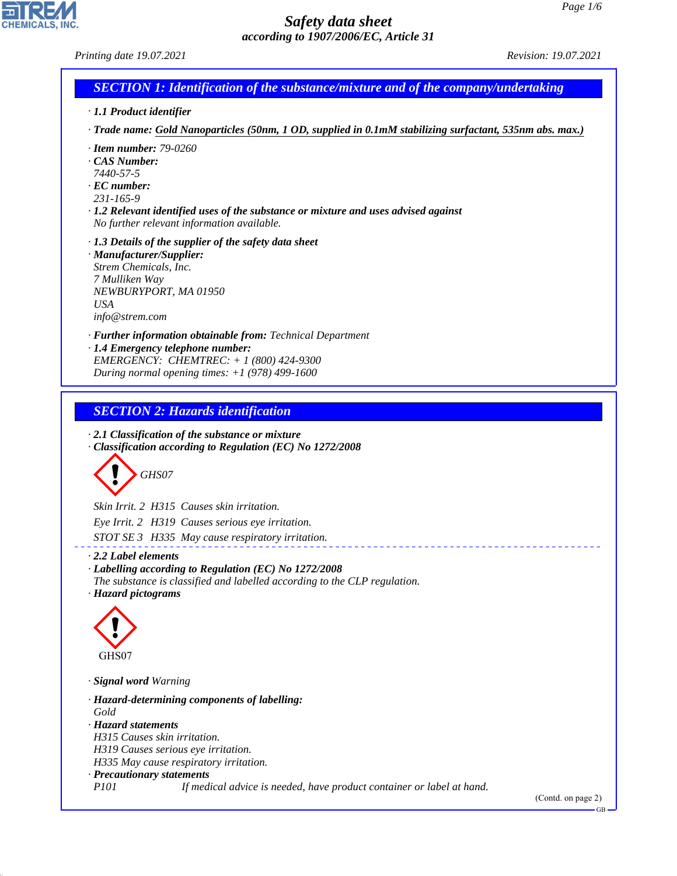*Printing date 19.07.2021 Revision: 19.07.2021*

# *SECTION 1: Identification of the substance/mixture and of the company/undertaking*

- *· 1.1 Product identifier*
- *· Trade name: Gold Nanoparticles (50nm, 1 OD, supplied in 0.1mM stabilizing surfactant, 535nm abs. max.)*
- *· Item number: 79-0260*
- *· CAS Number:*
- *7440-57-5*
- *· EC number:*
- *231-165-9*
- *· 1.2 Relevant identified uses of the substance or mixture and uses advised against No further relevant information available.*
- *· 1.3 Details of the supplier of the safety data sheet*
- *· Manufacturer/Supplier: Strem Chemicals, Inc. 7 Mulliken Way NEWBURYPORT, MA 01950 USA info@strem.com*
- *· Further information obtainable from: Technical Department · 1.4 Emergency telephone number: EMERGENCY: CHEMTREC: + 1 (800) 424-9300*
- *During normal opening times: +1 (978) 499-1600*

# *SECTION 2: Hazards identification*

*· 2.1 Classification of the substance or mixture · Classification according to Regulation (EC) No 1272/2008*



*Skin Irrit. 2 H315 Causes skin irritation. Eye Irrit. 2 H319 Causes serious eye irritation. STOT SE 3 H335 May cause respiratory irritation.*

#### *· 2.2 Label elements*

*· Labelling according to Regulation (EC) No 1272/2008 The substance is classified and labelled according to the CLP regulation. · Hazard pictograms*



44.1.1

*· Signal word Warning*

*· Hazard-determining components of labelling: Gold · Hazard statements H315 Causes skin irritation. H319 Causes serious eye irritation. H335 May cause respiratory irritation. · Precautionary statements P101 If medical advice is needed, have product container or label at hand.*

(Contd. on page 2)

GB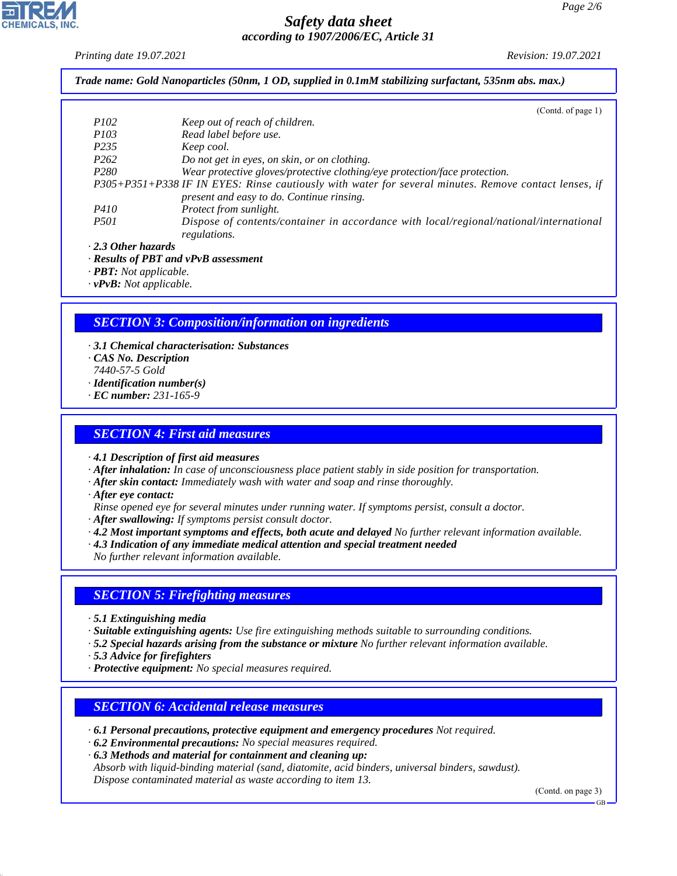*Printing date 19.07.2021 Revision: 19.07.2021*

*Trade name: Gold Nanoparticles (50nm, 1 OD, supplied in 0.1mM stabilizing surfactant, 535nm abs. max.)*

|                           | (Contd. of page 1)                                                                                    |
|---------------------------|-------------------------------------------------------------------------------------------------------|
| <i>P102</i>               | Keep out of reach of children.                                                                        |
| <i>P103</i>               | Read label before use.                                                                                |
| P <sub>235</sub>          | Keep cool.                                                                                            |
| P <sub>262</sub>          | Do not get in eyes, on skin, or on clothing.                                                          |
| P <sub>280</sub>          | Wear protective gloves/protective clothing/eye protection/face protection.                            |
|                           | P305+P351+P338 IF IN EYES: Rinse cautiously with water for several minutes. Remove contact lenses, if |
|                           | present and easy to do. Continue rinsing.                                                             |
| <i>P410</i>               | Protect from sunlight.                                                                                |
| <i>P501</i>               | Dispose of contents/container in accordance with local/regional/national/international                |
|                           | regulations.                                                                                          |
| $\cdot$ 2.3 Other hazards |                                                                                                       |
|                           |                                                                                                       |

*· Results of PBT and vPvB assessment*

*· PBT: Not applicable.*

*· vPvB: Not applicable.*

# *SECTION 3: Composition/information on ingredients*

- *· 3.1 Chemical characterisation: Substances · CAS No. Description 7440-57-5 Gold · Identification number(s) · EC number: 231-165-9*
- *SECTION 4: First aid measures*

*· 4.1 Description of first aid measures*

- *· After inhalation: In case of unconsciousness place patient stably in side position for transportation.*
- *· After skin contact: Immediately wash with water and soap and rinse thoroughly.*
- *· After eye contact:*
- *Rinse opened eye for several minutes under running water. If symptoms persist, consult a doctor.*
- *· After swallowing: If symptoms persist consult doctor.*
- *· 4.2 Most important symptoms and effects, both acute and delayed No further relevant information available.*
- *· 4.3 Indication of any immediate medical attention and special treatment needed*
- *No further relevant information available.*

### *SECTION 5: Firefighting measures*

- *· 5.1 Extinguishing media*
- *· Suitable extinguishing agents: Use fire extinguishing methods suitable to surrounding conditions.*
- *· 5.2 Special hazards arising from the substance or mixture No further relevant information available.*
- *· 5.3 Advice for firefighters*

44.1.1

*· Protective equipment: No special measures required.*

### *SECTION 6: Accidental release measures*

- *· 6.1 Personal precautions, protective equipment and emergency procedures Not required.*
- *· 6.2 Environmental precautions: No special measures required.*
- *· 6.3 Methods and material for containment and cleaning up:*

*Absorb with liquid-binding material (sand, diatomite, acid binders, universal binders, sawdust). Dispose contaminated material as waste according to item 13.*

(Contd. on page 3)

GB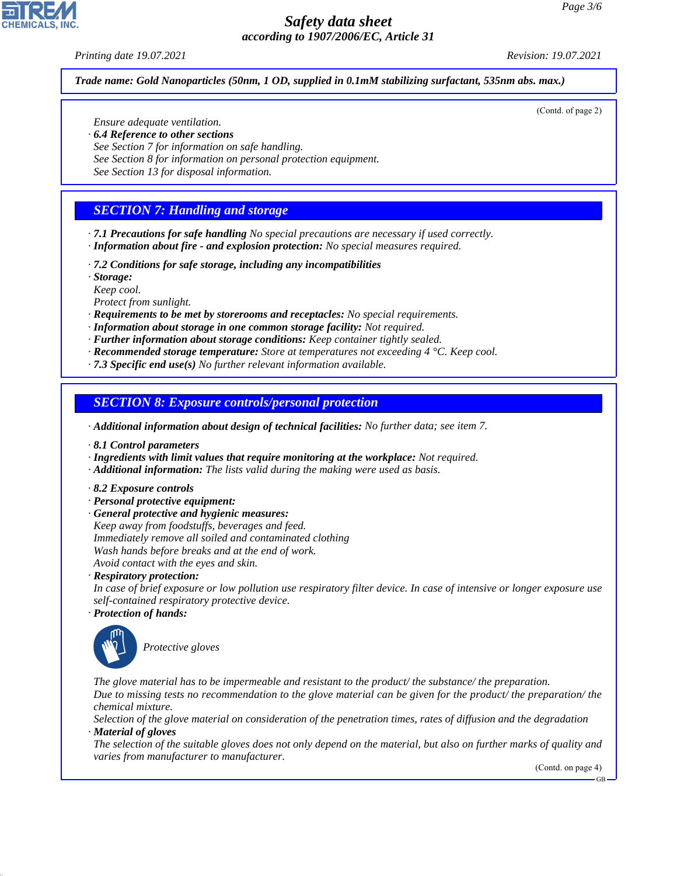#### *Printing date 19.07.2021 Revision: 19.07.2021*

*Trade name: Gold Nanoparticles (50nm, 1 OD, supplied in 0.1mM stabilizing surfactant, 535nm abs. max.)*

*Ensure adequate ventilation.*

- *· 6.4 Reference to other sections*
- *See Section 7 for information on safe handling.*
- *See Section 8 for information on personal protection equipment.*
- *See Section 13 for disposal information.*

# *SECTION 7: Handling and storage*

- *· 7.1 Precautions for safe handling No special precautions are necessary if used correctly. · Information about fire - and explosion protection: No special measures required.*
- *· 7.2 Conditions for safe storage, including any incompatibilities*
- *· Storage:*
- *Keep cool.*

*Protect from sunlight.*

- *· Requirements to be met by storerooms and receptacles: No special requirements.*
- *· Information about storage in one common storage facility: Not required.*
- *· Further information about storage conditions: Keep container tightly sealed.*
- *· Recommended storage temperature: Store at temperatures not exceeding 4 °C. Keep cool.*
- *· 7.3 Specific end use(s) No further relevant information available.*

### *SECTION 8: Exposure controls/personal protection*

- *· Additional information about design of technical facilities: No further data; see item 7.*
- *· 8.1 Control parameters*
- *· Ingredients with limit values that require monitoring at the workplace: Not required.*
- *· Additional information: The lists valid during the making were used as basis.*
- *· 8.2 Exposure controls*
- *· Personal protective equipment:*
- *· General protective and hygienic measures: Keep away from foodstuffs, beverages and feed. Immediately remove all soiled and contaminated clothing Wash hands before breaks and at the end of work. Avoid contact with the eyes and skin.*

*· Respiratory protection:*

*In case of brief exposure or low pollution use respiratory filter device. In case of intensive or longer exposure use self-contained respiratory protective device.*

*· Protection of hands:*



44.1.1

\_S*Protective gloves*

*The glove material has to be impermeable and resistant to the product/ the substance/ the preparation. Due to missing tests no recommendation to the glove material can be given for the product/ the preparation/ the chemical mixture.*

*Selection of the glove material on consideration of the penetration times, rates of diffusion and the degradation · Material of gloves*

*The selection of the suitable gloves does not only depend on the material, but also on further marks of quality and varies from manufacturer to manufacturer.*

(Contd. on page 4)

GB



#### (Contd. of page 2)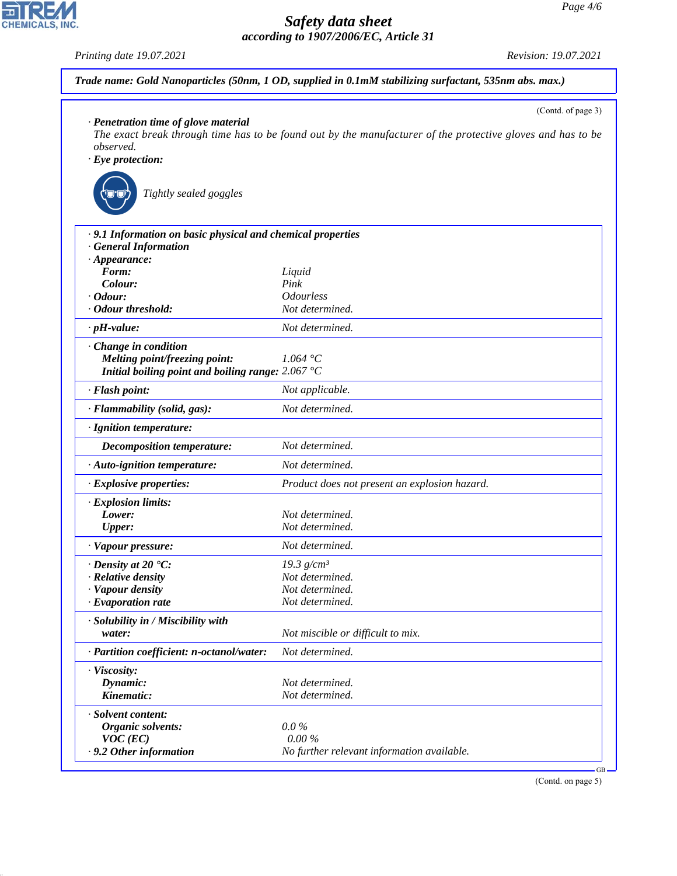*Printing date 19.07.2021 Revision: 19.07.2021*

CHEMICALS, INC.

44.1.1

|                                                             | (Contd. of page 3)                                                                                          |
|-------------------------------------------------------------|-------------------------------------------------------------------------------------------------------------|
| · Penetration time of glove material                        |                                                                                                             |
| observed.                                                   | The exact break through time has to be found out by the manufacturer of the protective gloves and has to be |
| $\cdot$ Eye protection:                                     |                                                                                                             |
|                                                             |                                                                                                             |
| Tightly sealed goggles                                      |                                                                                                             |
| · 9.1 Information on basic physical and chemical properties |                                                                                                             |
| · General Information                                       |                                                                                                             |
| $\cdot$ Appearance:                                         |                                                                                                             |
| Form:                                                       | Liquid                                                                                                      |
| Colour:                                                     | Pink                                                                                                        |
| · Odour:<br>· Odour threshold:                              | <b>Odourless</b>                                                                                            |
|                                                             | Not determined.                                                                                             |
| $\cdot$ pH-value:                                           | Not determined.                                                                                             |
| $\cdot$ Change in condition                                 |                                                                                                             |
| Melting point/freezing point:                               | 1.064 °C                                                                                                    |
| Initial boiling point and boiling range: $2.067^{\circ}$ C  |                                                                                                             |
| · Flash point:                                              | Not applicable.                                                                                             |
| · Flammability (solid, gas):                                | Not determined.                                                                                             |
| · Ignition temperature:                                     |                                                                                                             |
| <b>Decomposition temperature:</b>                           | Not determined.                                                                                             |
| · Auto-ignition temperature:                                | Not determined.                                                                                             |
| · Explosive properties:                                     | Product does not present an explosion hazard.                                                               |
| · Explosion limits:                                         |                                                                                                             |
| Lower:                                                      | Not determined.                                                                                             |
| <b>Upper:</b>                                               | Not determined.                                                                                             |
| · Vapour pressure:                                          | Not determined.                                                                                             |
| $\cdot$ Density at 20 $\textdegree$ C:                      | 19.3 $g/cm^3$                                                                                               |
| · Relative density                                          | Not determined.                                                                                             |
| · Vapour density                                            | Not determined.                                                                                             |
| $\cdot$ Evaporation rate                                    | Not determined.                                                                                             |
| · Solubility in / Miscibility with                          |                                                                                                             |
| water:                                                      | Not miscible or difficult to mix.                                                                           |
| · Partition coefficient: n-octanol/water:                   | Not determined.                                                                                             |
| · Viscosity:                                                |                                                                                                             |
| Dynamic:                                                    | Not determined.                                                                                             |
| Kinematic:                                                  | Not determined.                                                                                             |
| · Solvent content:                                          |                                                                                                             |
|                                                             |                                                                                                             |
| <b>Organic solvents:</b><br>$VOC$ (EC)                      | $0.0\%$<br>$0.00\%$                                                                                         |

(Contd. on page 5)

GB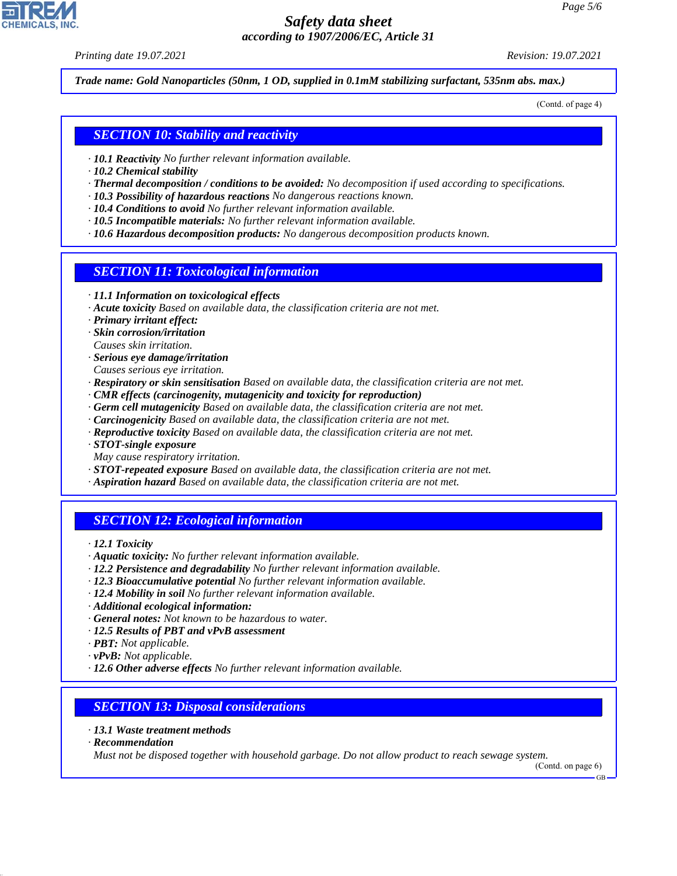*Printing date 19.07.2021 Revision: 19.07.2021*

*Trade name: Gold Nanoparticles (50nm, 1 OD, supplied in 0.1mM stabilizing surfactant, 535nm abs. max.)*

(Contd. of page 4)

### *SECTION 10: Stability and reactivity*

- *· 10.1 Reactivity No further relevant information available.*
- *· 10.2 Chemical stability*
- *· Thermal decomposition / conditions to be avoided: No decomposition if used according to specifications.*
- *· 10.3 Possibility of hazardous reactions No dangerous reactions known.*
- *· 10.4 Conditions to avoid No further relevant information available.*
- *· 10.5 Incompatible materials: No further relevant information available.*
- *· 10.6 Hazardous decomposition products: No dangerous decomposition products known.*

### *SECTION 11: Toxicological information*

- *· 11.1 Information on toxicological effects*
- *· Acute toxicity Based on available data, the classification criteria are not met.*
- *· Primary irritant effect:*
- *· Skin corrosion/irritation*
- *Causes skin irritation.*
- *· Serious eye damage/irritation*
- *Causes serious eye irritation.*
- *· Respiratory or skin sensitisation Based on available data, the classification criteria are not met.*
- *· CMR effects (carcinogenity, mutagenicity and toxicity for reproduction)*
- *· Germ cell mutagenicity Based on available data, the classification criteria are not met.*
- *· Carcinogenicity Based on available data, the classification criteria are not met.*
- *· Reproductive toxicity Based on available data, the classification criteria are not met.*
- *· STOT-single exposure*
- *May cause respiratory irritation.*
- *· STOT-repeated exposure Based on available data, the classification criteria are not met.*
- *· Aspiration hazard Based on available data, the classification criteria are not met.*

# *SECTION 12: Ecological information*

- *· 12.1 Toxicity*
- *· Aquatic toxicity: No further relevant information available.*
- *· 12.2 Persistence and degradability No further relevant information available.*
- *· 12.3 Bioaccumulative potential No further relevant information available.*
- *· 12.4 Mobility in soil No further relevant information available.*
- *· Additional ecological information:*
- *· General notes: Not known to be hazardous to water.*
- *· 12.5 Results of PBT and vPvB assessment*
- *· PBT: Not applicable.*
- *· vPvB: Not applicable.*
- *· 12.6 Other adverse effects No further relevant information available.*

### *SECTION 13: Disposal considerations*

- *· 13.1 Waste treatment methods*
- *· Recommendation*

44.1.1

*Must not be disposed together with household garbage. Do not allow product to reach sewage system.*

(Contd. on page 6)

GB